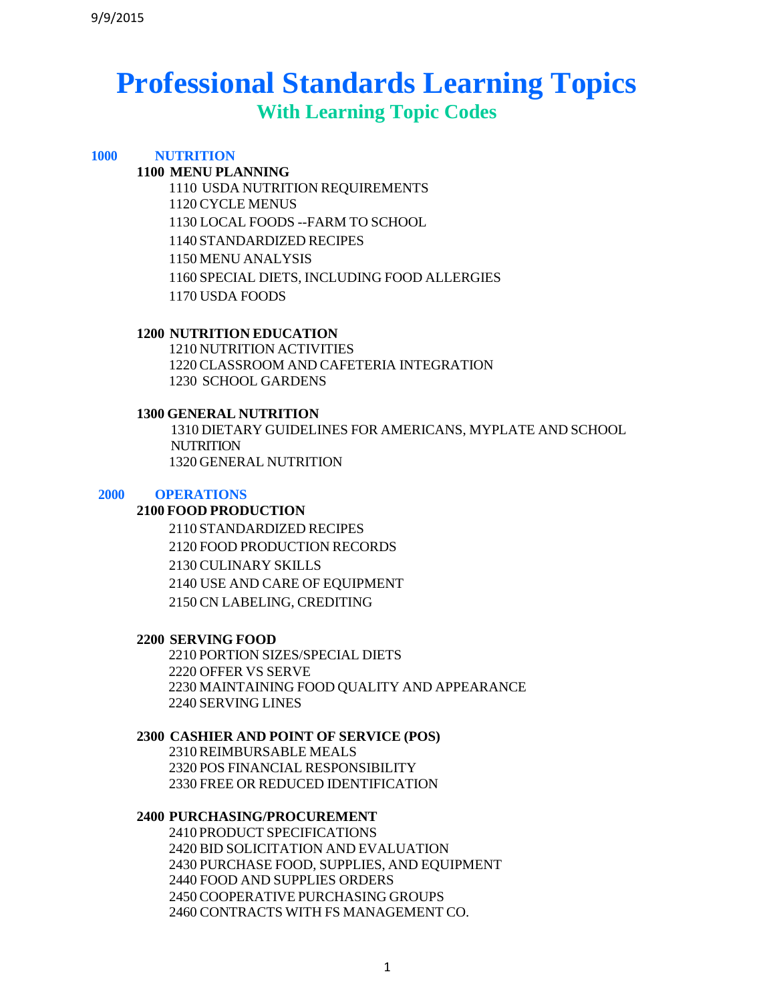# **Professional Standards Learning Topics**

**With Learning Topic Codes**

# **NUTRITION**

# **MENU PLANNING**

 USDA NUTRITION REQUIREMENTS CYCLE MENUS LOCAL FOODS --FARM TO SCHOOL STANDARDIZED RECIPES MENU ANALYSIS SPECIAL DIETS, INCLUDING FOOD ALLERGIES USDA FOODS

## **NUTRITION EDUCATION**

 NUTRITION ACTIVITIES CLASSROOM AND CAFETERIA INTEGRATION SCHOOL GARDENS

## **GENERAL NUTRITION**

 DIETARY GUIDELINES FOR AMERICANS, MYPLATE AND SCHOOL **NUTRITION** GENERAL NUTRITION

## **OPERATIONS**

#### **FOOD PRODUCTION**

 STANDARDIZED RECIPES FOOD PRODUCTION RECORDS CULINARY SKILLS USE AND CARE OF EQUIPMENT CN LABELING, CREDITING

#### **SERVING FOOD**

 PORTION SIZES/SPECIAL DIETS OFFER VS SERVE MAINTAINING FOOD QUALITY AND APPEARANCE SERVING LINES

#### **CASHIER AND POINT OF SERVICE (POS)**

 REIMBURSABLE MEALS POS FINANCIAL RESPONSIBILITY FREE OR REDUCED IDENTIFICATION

## **PURCHASING/PROCUREMENT**

 PRODUCT SPECIFICATIONS BID SOLICITATION AND EVALUATION PURCHASE FOOD, SUPPLIES, AND EQUIPMENT FOOD AND SUPPLIES ORDERS COOPERATIVE PURCHASING GROUPS CONTRACTS WITH FS MANAGEMENT CO.